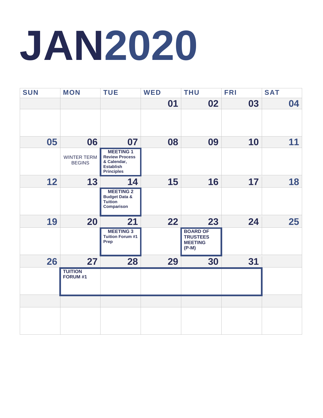## **JAN2020**

| <b>SUN</b> | <b>MON</b>                          | <b>TUE</b>                                                                                        | <b>WED</b> | <b>THU</b>                                                      | <b>FRI</b> | <b>SAT</b> |
|------------|-------------------------------------|---------------------------------------------------------------------------------------------------|------------|-----------------------------------------------------------------|------------|------------|
|            |                                     |                                                                                                   | 01         | 02                                                              | 03         | 04         |
|            |                                     |                                                                                                   |            |                                                                 |            |            |
| 05         | 06                                  | 07                                                                                                | 08         | 09                                                              | 10         | 11         |
|            | <b>WINTER TERM</b><br><b>BEGINS</b> | <b>MEETING 1</b><br><b>Review Process</b><br>& Calendar,<br><b>Establish</b><br><b>Principles</b> |            |                                                                 |            |            |
| 12         | 13                                  | 14                                                                                                | 15         | 16                                                              | 17         | 18         |
|            |                                     | <b>MEETING 2</b><br><b>Budget Data &amp;</b><br>Tuition<br><b>Comparison</b>                      |            |                                                                 |            |            |
| 19         | 20                                  | 21                                                                                                | 22         | 23                                                              | 24         | 25         |
|            |                                     | <b>MEETING 3</b><br><b>Tuition Forum #1</b><br>Prep                                               |            | <b>BOARD OF</b><br><b>TRUSTEES</b><br><b>MEETING</b><br>$(P-M)$ |            |            |
| 26         | 27                                  | 28                                                                                                | 29         | 30                                                              | 31         |            |
|            | <b>TUITION</b><br>FORUM #1          |                                                                                                   |            |                                                                 |            |            |
|            |                                     |                                                                                                   |            |                                                                 |            |            |
|            |                                     |                                                                                                   |            |                                                                 |            |            |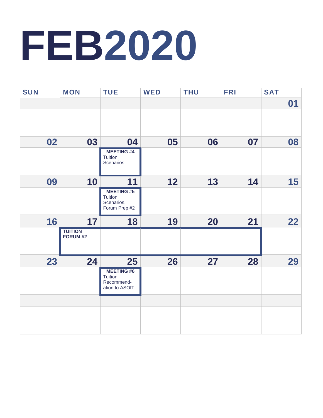## **FEB2020**

| <b>SUN</b> | <b>MON</b>                 | <b>TUE</b>                                                 | <b>WED</b> | <b>THU</b> | <b>FRI</b> | <b>SAT</b> |
|------------|----------------------------|------------------------------------------------------------|------------|------------|------------|------------|
|            |                            |                                                            |            |            |            | 01         |
|            |                            |                                                            |            |            |            |            |
| 02         | 03                         | 04                                                         | 05         | 06         | 07         | 08         |
|            |                            | <b>MEETING#4</b><br>Tuition<br>Scenarios                   |            |            |            |            |
| 09         | 10                         | 11                                                         | 12         | 13         | 14         | 15         |
|            |                            | <b>MEETING#5</b><br>Tuition<br>Scenarios,<br>Forum Prep #2 |            |            |            |            |
| 16         | 17                         | 18                                                         | 19         | 20         | 21         | 22         |
|            | <b>TUITION</b><br>FORUM #2 |                                                            |            |            |            |            |
| 23         | 24                         | 25                                                         | 26         | 27         | 28         | 29         |
|            |                            | <b>MEETING#6</b><br>Tuition                                |            |            |            |            |
|            |                            | Recommend-<br>ation to ASOIT                               |            |            |            |            |
|            |                            |                                                            |            |            |            |            |
|            |                            |                                                            |            |            |            |            |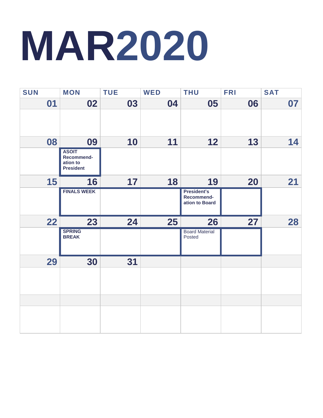## **MAR2020**

| <b>SUN</b> | <b>MON</b>                                                 | <b>TUE</b> | <b>WED</b> | <b>THU</b>                                  | <b>FRI</b> | <b>SAT</b> |
|------------|------------------------------------------------------------|------------|------------|---------------------------------------------|------------|------------|
| 01         | 02                                                         | 03         | 04         | 05                                          | 06         | 07         |
|            |                                                            |            |            |                                             |            |            |
| 08         | 09                                                         | 10         | 11         | 12                                          | 13         | 14         |
|            | <b>ASOIT</b><br>Recommend-<br>ation to<br><b>President</b> |            |            |                                             |            |            |
| 15         | 16                                                         | 17         | 18         | 19                                          | 20         | 21         |
|            | <b>FINALS WEEK</b>                                         |            |            | President's<br>Recommend-<br>ation to Board |            |            |
| 22         | 23                                                         | 24         | 25         | 26                                          | 27         | 28         |
|            | <b>SPRING</b><br><b>BREAK</b>                              |            |            | <b>Board Material</b><br>Posted             |            |            |
| 29         | 30                                                         | 31         |            |                                             |            |            |
|            |                                                            |            |            |                                             |            |            |
|            |                                                            |            |            |                                             |            |            |
|            |                                                            |            |            |                                             |            |            |